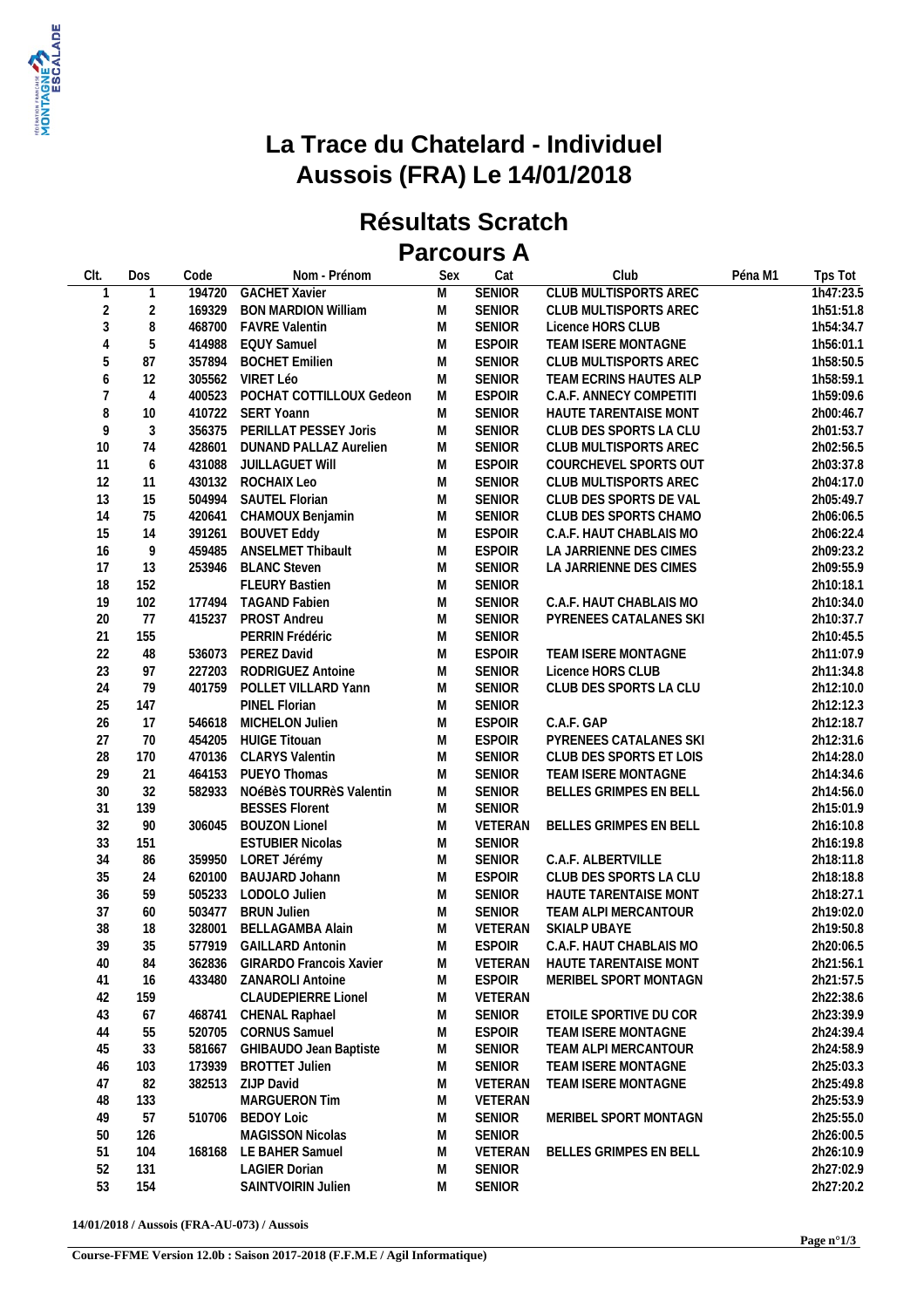

## **La Trace du Chatelard - Individuel Aussois (FRA) Le 14/01/2018**

## **Résultats Scratch Parcours A**

| CIt.             | Dos            | Code   | Nom - Prénom                    | Sex       | Cat           | Club                          | Péna M1 | Tps Tot   |
|------------------|----------------|--------|---------------------------------|-----------|---------------|-------------------------------|---------|-----------|
| 1                | 1              |        | 194720 GACHET Xavier            | M         | <b>SENIOR</b> | <b>CLUB MULTISPORTS AREC</b>  |         | 1h47:23.5 |
| $\overline{2}$   | $\overline{2}$ |        | 169329 BON MARDION William      | M         | <b>SENIOR</b> | CLUB MULTISPORTS AREC         |         | 1h51:51.8 |
| $\sqrt{3}$       | 8              |        | 468700 FAVRE Valentin           | M         | <b>SENIOR</b> | Licence HORS CLUB             |         | 1h54:34.7 |
| $\overline{4}$   | $\sqrt{5}$     |        | 414988 EQUY Samuel              | M         | <b>ESPOIR</b> | TEAM ISERE MONTAGNE           |         | 1h56:01.1 |
| 5                | 87             |        | 357894 BOCHET Emilien           | M         | <b>SENIOR</b> | CLUB MULTISPORTS AREC         |         | 1h58:50.5 |
| $\boldsymbol{6}$ | 12             |        | 305562 VIRET Léo                | M         | <b>SENIOR</b> | TEAM ECRINS HAUTES ALP        |         | 1h58:59.1 |
| $\overline{7}$   | $\overline{4}$ |        | 400523 POCHAT COTTILLOUX Gedeon | M         | <b>ESPOIR</b> | C.A.F. ANNECY COMPETITI       |         | 1h59:09.6 |
| $\, 8$           | 10             |        | 410722 SERT Yoann               | M         | <b>SENIOR</b> | HAUTE TARENTAISE MONT         |         | 2h00:46.7 |
| $\boldsymbol{9}$ | 3              |        | 356375 PERILLAT PESSEY Joris    | M         | <b>SENIOR</b> | CLUB DES SPORTS LA CLU        |         | 2h01:53.7 |
| 10               | 74             |        | 428601 DUNAND PALLAZ Aurelien   | M         | <b>SENIOR</b> | CLUB MULTISPORTS AREC         |         | 2h02:56.5 |
| 11               | 6              | 431088 | JUILLAGUET WIII                 | M         | <b>ESPOIR</b> | COURCHEVEL SPORTS OUT         |         | 2h03:37.8 |
| 12               | 11             |        | 430132 ROCHAIX Leo              | M         | <b>SENIOR</b> | CLUB MULTISPORTS AREC         |         | 2h04:17.0 |
| 13               | 15             |        | 504994 SAUTEL Florian           | M         | <b>SENIOR</b> | CLUB DES SPORTS DE VAL        |         | 2h05:49.7 |
| 14               | 75             | 420641 | CHAMOUX Benjamin                | M         | <b>SENIOR</b> | CLUB DES SPORTS CHAMO         |         | 2h06:06.5 |
| 15               | 14             | 391261 | <b>BOUVET Eddy</b>              | M         | <b>ESPOIR</b> | C.A.F. HAUT CHABLAIS MO       |         | 2h06:22.4 |
| 16               | 9              | 459485 | <b>ANSELMET Thibault</b>        | M         | <b>ESPOIR</b> | LA JARRIENNE DES CIMES        |         | 2h09:23.2 |
| 17               | 13             |        | 253946 BLANC Steven             | M         | <b>SENIOR</b> | LA JARRIENNE DES CIMES        |         | 2h09:55.9 |
| 18               | 152            |        | <b>FLEURY Bastien</b>           | M         | <b>SENIOR</b> |                               |         | 2h10:18.1 |
| 19               | 102            |        | 177494 TAGAND Fabien            | M         | <b>SENIOR</b> | C.A.F. HAUT CHABLAIS MO       |         | 2h10:34.0 |
| $20\,$           | 77             |        | 415237 PROST Andreu             | ${\sf M}$ | <b>SENIOR</b> | PYRENEES CATALANES SKI        |         | 2h10:37.7 |
| 21               | 155            |        | PERRIN Frédéric                 | M         | <b>SENIOR</b> |                               |         | 2h10:45.5 |
| 22               | 48             |        | 536073 PEREZ David              | M         | <b>ESPOIR</b> | TEAM ISERE MONTAGNE           |         | 2h11:07.9 |
| 23               | 97             |        | 227203 RODRIGUEZ Antoine        | M         | <b>SENIOR</b> | Licence HORS CLUB             |         | 2h11:34.8 |
| 24               | 79             |        | 401759 POLLET VILLARD Yann      | M         | <b>SENIOR</b> | CLUB DES SPORTS LA CLU        |         | 2h12:10.0 |
| 25               | 147            |        | PINEL Florian                   | M         | <b>SENIOR</b> |                               |         | 2h12:12.3 |
| 26               | 17             |        | 546618 MICHELON Julien          | M         | <b>ESPOIR</b> | C.A.F. GAP                    |         | 2h12:18.7 |
| 27               | 70             |        | 454205 HUIGE Titouan            | M         | <b>ESPOIR</b> | PYRENEES CATALANES SKI        |         | 2h12:31.6 |
| 28               | 170            |        | 470136 CLARYS Valentin          | M         | <b>SENIOR</b> | CLUB DES SPORTS ET LOIS       |         | 2h14:28.0 |
| 29               | 21             |        | 464153 PUEYO Thomas             | M         | <b>SENIOR</b> | TEAM ISERE MONTAGNE           |         | 2h14:34.6 |
| $30\,$           | 32             |        | 582933 NOéBèS TOURRèS Valentin  | M         | <b>SENIOR</b> | BELLES GRIMPES EN BELL        |         | 2h14:56.0 |
| 31               | 139            |        | <b>BESSES Florent</b>           | M         | <b>SENIOR</b> |                               |         | 2h15:01.9 |
| 32               | 90             |        | 306045 BOUZON Lionel            | M         | VETERAN       | BELLES GRIMPES EN BELL        |         | 2h16:10.8 |
| 33               | 151            |        | <b>ESTUBIER Nicolas</b>         | M         | <b>SENIOR</b> |                               |         | 2h16:19.8 |
| 34               | 86             |        | 359950 LORET Jérémy             | M         | <b>SENIOR</b> | C.A.F. ALBERTVILLE            |         | 2h18:11.8 |
| 35               | 24             |        | 620100 BAUJARD Johann           | M         | <b>ESPOIR</b> | CLUB DES SPORTS LA CLU        |         | 2h18:18.8 |
| 36               | 59             |        | 505233 LODOLO Julien            | M         | <b>SENIOR</b> | HAUTE TARENTAISE MONT         |         | 2h18:27.1 |
| 37               | 60             | 503477 | <b>BRUN Julien</b>              | M         | <b>SENIOR</b> | TEAM ALPI MERCANTOUR          |         | 2h19:02.0 |
| 38               | 18             | 328001 | <b>BELLAGAMBA Alain</b>         | M         | VETERAN       | SKIALP UBAYE                  |         | 2h19:50.8 |
| 39               | 35             |        | 577919 GAILLARD Antonin         | ${\sf M}$ | <b>ESPOIR</b> | C.A.F. HAUT CHABLAIS MO       |         | 2h20:06.5 |
| 40               | 84             |        | 362836 GIRARDO Francois Xavier  | M         |               | VETERAN HAUTE TARENTAISE MONT |         | 2h21:56.1 |
| 41               | 16             |        | 433480 ZANAROLI Antoine         | M         | <b>ESPOIR</b> | MERIBEL SPORT MONTAGN         |         | 2h21:57.5 |
| 42               | 159            |        | CLAUDEPIERRE Lionel             | M         | VETERAN       |                               |         | 2h22:38.6 |
| 43               | 67             | 468741 | <b>CHENAL Raphael</b>           | M         | <b>SENIOR</b> | ETOILE SPORTIVE DU COR        |         | 2h23:39.9 |
| 44               | 55             | 520705 | <b>CORNUS Samuel</b>            | M         | <b>ESPOIR</b> | TEAM ISERE MONTAGNE           |         | 2h24:39.4 |
| 45               | 33             | 581667 | GHIBAUDO Jean Baptiste          | M         | <b>SENIOR</b> | TEAM ALPI MERCANTOUR          |         | 2h24:58.9 |
| 46               | 103            | 173939 | <b>BROTTET Julien</b>           | M         | <b>SENIOR</b> | TEAM ISERE MONTAGNE           |         | 2h25:03.3 |
| 47               | 82             |        | 382513 ZIJP David               | M         | VETERAN       | TEAM ISERE MONTAGNE           |         | 2h25:49.8 |
| 48               | 133            |        | <b>MARGUERON Tim</b>            | M         | VETERAN       |                               |         | 2h25:53.9 |
| 49               | 57             |        | 510706 BEDOY Loic               | M         | <b>SENIOR</b> | MERIBEL SPORT MONTAGN         |         | 2h25:55.0 |
| 50               | 126            |        | <b>MAGISSON Nicolas</b>         | M         | <b>SENIOR</b> |                               |         | 2h26:00.5 |
| 51               | 104            |        | 168168 LE BAHER Samuel          | M         | VETERAN       | BELLES GRIMPES EN BELL        |         | 2h26:10.9 |
| 52               | 131            |        | <b>LAGIER Dorian</b>            | M         | <b>SENIOR</b> |                               |         | 2h27:02.9 |
| 53               | 154            |        | SAINTVOIRIN Julien              | M         | SENIOR        |                               |         | 2h27:20.2 |
|                  |                |        |                                 |           |               |                               |         |           |

**14/01/2018 / Aussois (FRA-AU-073) / Aussois**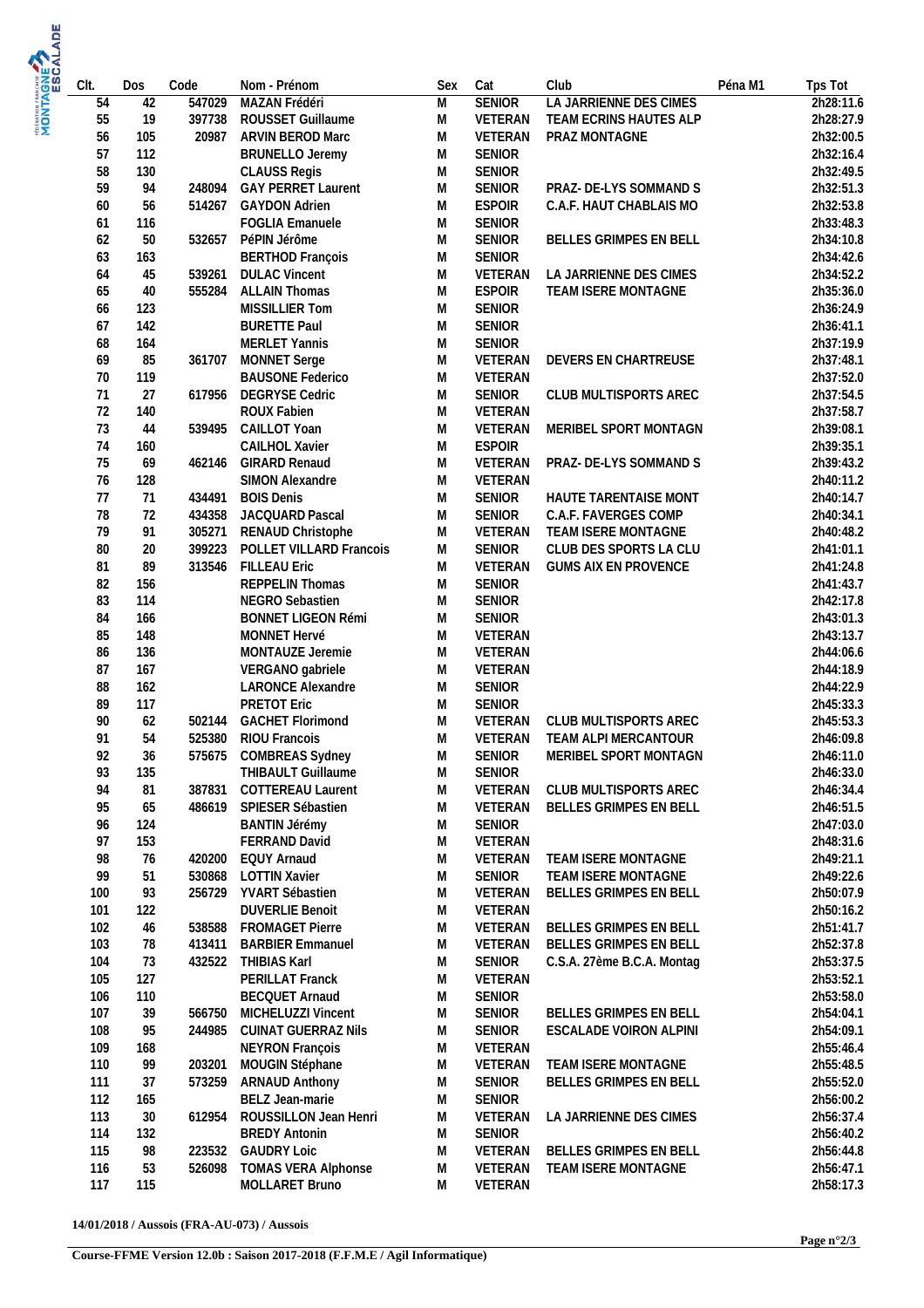| CIt.       | Dos        | Code   | Nom - Prénom                                     | Sex    | Cat                            | Club<br>Péna M1            | Tps Tot                |
|------------|------------|--------|--------------------------------------------------|--------|--------------------------------|----------------------------|------------------------|
| 54         | 42         | 547029 | MAZAN Frédéri                                    | M      | <b>SENIOR</b>                  | LA JARRIENNE DES CIMES     | 2h28:11.6              |
| 55         | 19         | 397738 | ROUSSET Guillaume                                | M      | VETERAN                        | TEAM ECRINS HAUTES ALP     | 2h28:27.9              |
| 56         | 105        | 20987  | <b>ARVIN BEROD Marc</b>                          | M      | VETERAN                        | PRAZ MONTAGNE              | 2h32:00.5              |
| 57         | 112        |        | <b>BRUNELLO Jeremy</b>                           | M      | <b>SENIOR</b>                  |                            | 2h32:16.4              |
| 58<br>59   | 130<br>94  | 248094 | <b>CLAUSS Regis</b><br><b>GAY PERRET Laurent</b> | M<br>M | <b>SENIOR</b><br><b>SENIOR</b> | PRAZ- DE-LYS SOMMAND S     | 2h32:49.5<br>2h32:51.3 |
| 60         | 56         | 514267 | <b>GAYDON Adrien</b>                             | M      | <b>ESPOIR</b>                  | C.A.F. HAUT CHABLAIS MO    | 2h32:53.8              |
| 61         | 116        |        | FOGLIA Emanuele                                  | M      | <b>SENIOR</b>                  |                            | 2h33:48.3              |
| 62         | 50         | 532657 | PéPIN Jérôme                                     | M      | <b>SENIOR</b>                  | BELLES GRIMPES EN BELL     | 2h34:10.8              |
| 63         | 163        |        | <b>BERTHOD François</b>                          | M      | <b>SENIOR</b>                  |                            | 2h34:42.6              |
| 64         | 45         | 539261 | <b>DULAC Vincent</b>                             | M      | VETERAN                        | LA JARRIENNE DES CIMES     | 2h34:52.2              |
| 65         | 40         | 555284 | <b>ALLAIN Thomas</b>                             | M      | <b>ESPOIR</b>                  | TEAM ISERE MONTAGNE        | 2h35:36.0              |
| 66         | 123        |        | MISSILLIER Tom                                   | M      | <b>SENIOR</b>                  |                            | 2h36:24.9              |
| 67         | 142        |        | <b>BURETTE Paul</b>                              | M      | <b>SENIOR</b>                  |                            | 2h36:41.1              |
| 68         | 164        |        | <b>MERLET Yannis</b>                             | M      | <b>SENIOR</b>                  |                            | 2h37:19.9              |
| 69         | 85         |        | 361707 MONNET Serge                              | M      | VETERAN                        | DEVERS EN CHARTREUSE       | 2h37:48.1              |
| 70         | 119        |        | <b>BAUSONE Federico</b>                          | M      | VETERAN                        |                            | 2h37:52.0              |
| 71         | 27         |        | 617956 DEGRYSE Cedric                            | M      | <b>SENIOR</b>                  | CLUB MULTISPORTS AREC      | 2h37:54.5              |
| 72<br>73   | 140<br>44  | 539495 | ROUX Fabien<br>CAILLOT Yoan                      | M<br>M | VETERAN<br>VETERAN             | MERIBEL SPORT MONTAGN      | 2h37:58.7<br>2h39:08.1 |
| 74         | 160        |        | <b>CAILHOL Xavier</b>                            | M      | <b>ESPOIR</b>                  |                            | 2h39:35.1              |
| 75         | 69         |        | 462146 GIRARD Renaud                             | M      | VETERAN                        | PRAZ- DE-LYS SOMMAND S     | 2h39:43.2              |
| 76         | 128        |        | SIMON Alexandre                                  | M      | VETERAN                        |                            | 2h40:11.2              |
| 77         | 71         | 434491 | <b>BOIS Denis</b>                                | M      | <b>SENIOR</b>                  | HAUTE TARENTAISE MONT      | 2h40:14.7              |
| 78         | 72         | 434358 | JACQUARD Pascal                                  | M      | <b>SENIOR</b>                  | C.A.F. FAVERGES COMP       | 2h40:34.1              |
| 79         | 91         | 305271 | RENAUD Christophe                                | M      | VETERAN                        | TEAM ISERE MONTAGNE        | 2h40:48.2              |
| 80         | 20         | 399223 | POLLET VILLARD Francois                          | M      | <b>SENIOR</b>                  | CLUB DES SPORTS LA CLU     | 2h41:01.1              |
| 81         | 89         |        | 313546 FILLEAU Eric                              | M      | VETERAN                        | GUMS AIX EN PROVENCE       | 2h41:24.8              |
| 82         | 156        |        | <b>REPPELIN Thomas</b>                           | M      | <b>SENIOR</b>                  |                            | 2h41:43.7              |
| 83         | 114        |        | NEGRO Sebastien                                  | M      | <b>SENIOR</b>                  |                            | 2h42:17.8              |
| 84         | 166<br>148 |        | <b>BONNET LIGEON Rémi</b>                        | M      | <b>SENIOR</b>                  |                            | 2h43:01.3              |
| 85<br>86   | 136        |        | MONNET Hervé<br>MONTAUZE Jeremie                 | M<br>M | VETERAN<br>VETERAN             |                            | 2h43:13.7<br>2h44:06.6 |
| 87         | 167        |        | VERGANO gabriele                                 | M      | VETERAN                        |                            | 2h44:18.9              |
| 88         | 162        |        | LARONCE Alexandre                                | M      | <b>SENIOR</b>                  |                            | 2h44:22.9              |
| 89         | 117        |        | <b>PRETOT Eric</b>                               | M      | <b>SENIOR</b>                  |                            | 2h45:33.3              |
| 90         | 62         |        | 502144 GACHET Florimond                          | M      | VETERAN                        | CLUB MULTISPORTS AREC      | 2h45:53.3              |
| 91         | 54         |        | 525380 RIOU Francois                             | M      | VETERAN                        | TEAM ALPI MERCANTOUR       | 2h46:09.8              |
| 92         | 36         |        | 575675 COMBREAS Sydney                           | M      | <b>SENIOR</b>                  | MERIBEL SPORT MONTAGN      | 2h46:11.0              |
| 93         | 135        |        | THIBAULT Guillaume                               | M      | SENIOR                         |                            | 2h46:33.0              |
| 94         | 81         | 387831 | <b>COTTEREAU Laurent</b>                         | M      | VETERAN                        | CLUB MULTISPORTS AREC      | 2h46:34.4              |
| 95         | 65         |        | 486619 SPIESER Sébastien                         | M      | VETERAN                        | BELLES GRIMPES EN BELL     | 2h46:51.5              |
| 96         | 124        |        | <b>BANTIN Jérémy</b>                             | M      | SENIOR                         |                            | 2h47:03.0              |
| 97<br>98   | 153        |        | FERRAND David<br>420200 EQUY Arnaud              | M      | VETERAN<br>VETERAN             | TEAM ISERE MONTAGNE        | 2h48:31.6<br>2h49:21.1 |
| 99         | 76<br>51   |        | 530868 LOTTIN Xavier                             | M<br>M | SENIOR                         | TEAM ISERE MONTAGNE        | 2h49:22.6              |
| 100        | 93         |        | 256729 YVART Sébastien                           | M      | VETERAN                        | BELLES GRIMPES EN BELL     | 2h50:07.9              |
| 101        | 122        |        | <b>DUVERLIE Benoit</b>                           | M      | VETERAN                        |                            | 2h50:16.2              |
| 102        | 46         | 538588 | <b>FROMAGET Pierre</b>                           | M      | VETERAN                        | BELLES GRIMPES EN BELL     | 2h51:41.7              |
| 103        | 78         | 413411 | <b>BARBIER Emmanuel</b>                          | M      | VETERAN                        | BELLES GRIMPES EN BELL     | 2h52:37.8              |
| 104        | 73         |        | 432522 THIBIAS Karl                              | M      | <b>SENIOR</b>                  | C.S.A. 27ème B.C.A. Montag | 2h53:37.5              |
| 105        | 127        |        | PERILLAT Franck                                  | M      | VETERAN                        |                            | 2h53:52.1              |
| 106        | 110        |        | <b>BECQUET Arnaud</b>                            | M      | <b>SENIOR</b>                  |                            | 2h53:58.0              |
| 107        | 39         |        | 566750 MICHELUZZI Vincent                        | M      | <b>SENIOR</b>                  | BELLES GRIMPES EN BELL     | 2h54:04.1              |
| 108        | 95         | 244985 | CUINAT GUERRAZ Nils                              | M      | <b>SENIOR</b>                  | ESCALADE VOIRON ALPINI     | 2h54:09.1              |
| 109        | 168        |        | NEYRON François                                  | M      | VETERAN                        |                            | 2h55:46.4              |
| 110        | 99         | 203201 | MOUGIN Stéphane                                  | M      | VETERAN                        | TEAM ISERE MONTAGNE        | 2h55:48.5              |
| 111<br>112 | 37         |        | 573259 ARNAUD Anthony<br>BELZ Jean-marie         | M      | <b>SENIOR</b><br><b>SENIOR</b> | BELLES GRIMPES EN BELL     | 2h55:52.0<br>2h56:00.2 |
| 113        | 165<br>30  | 612954 | ROUSSILLON Jean Henri                            | M<br>M | VETERAN                        | LA JARRIENNE DES CIMES     | 2h56:37.4              |
| 114        | 132        |        | <b>BREDY Antonin</b>                             | M      | <b>SENIOR</b>                  |                            | 2h56:40.2              |
| 115        | 98         |        | 223532 GAUDRY Loic                               | M      | VETERAN                        | BELLES GRIMPES EN BELL     | 2h56:44.8              |
| 116        | 53         |        | 526098 TOMAS VERA Alphonse                       | M      | VETERAN                        | TEAM ISERE MONTAGNE        | 2h56:47.1              |
| 117        | 115        |        | MOLLARET Bruno                                   | M      | VETERAN                        |                            | 2h58:17.3              |

**14/01/2018 / Aussois (FRA-AU-073) / Aussois**